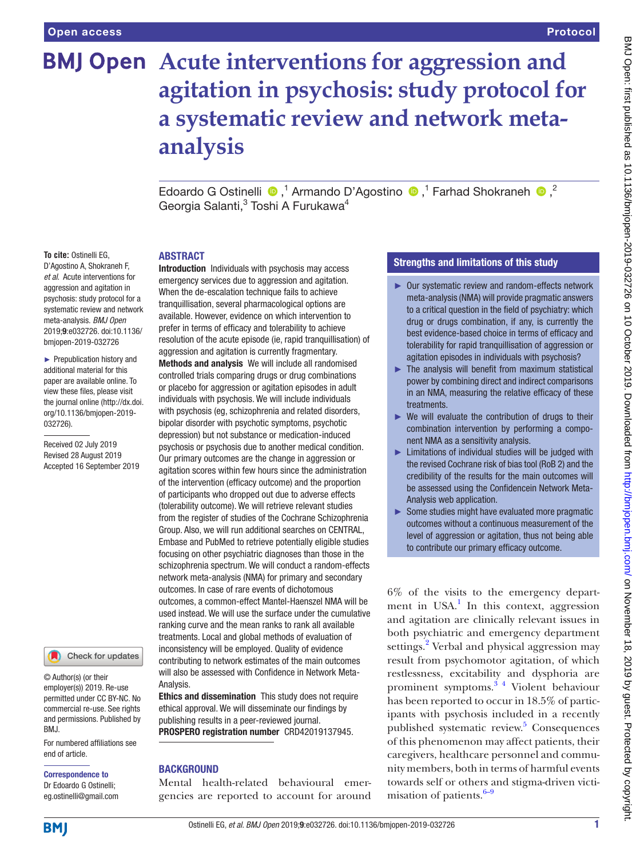# **BMJ Open** Acute interventions for aggression and **agitation in psychosis: study protocol for a systematic review and network metaanalysis**

EdoardoG Ostinelli  $\bullet$ ,<sup>1</sup> Armando D'Agostino  $\bullet$ ,<sup>1</sup> Farhad Shokraneh  $\bullet$ ,<sup>2</sup> Georgia Salanti,<sup>3</sup> Toshi A Furukawa<sup>4</sup>

## **ABSTRACT**

**To cite:** Ostinelli EG, D'Agostino A, Shokraneh F, *et al*. Acute interventions for aggression and agitation in psychosis: study protocol for a systematic review and network meta-analysis. *BMJ Open* 2019;9:e032726. doi:10.1136/ bmjopen-2019-032726

► Prepublication history and additional material for this paper are available online. To view these files, please visit the journal online (http://dx.doi. org/10.1136/bmjopen-2019- 032726).

Received 02 July 2019 Revised 28 August 2019 Accepted 16 September 2019

Check for updates

© Author(s) (or their employer(s)) 2019. Re-use permitted under CC BY-NC. No commercial re-use. See rights and permissions. Published by BMJ.

For numbered affiliations see end of article.

# Correspondence to

Dr Edoardo G Ostinelli; eg.ostinelli@gmail.com Introduction Individuals with psychosis may access emergency services due to aggression and agitation. When the de-escalation technique fails to achieve tranquillisation, several pharmacological options are available. However, evidence on which intervention to prefer in terms of efficacy and tolerability to achieve resolution of the acute episode (ie, rapid tranquillisation) of aggression and agitation is currently fragmentary.

Methods and analysis We will include all randomised controlled trials comparing drugs or drug combinations or placebo for aggression or agitation episodes in adult individuals with psychosis. We will include individuals with psychosis (eg, schizophrenia and related disorders, bipolar disorder with psychotic symptoms, psychotic depression) but not substance or medication-induced psychosis or psychosis due to another medical condition. Our primary outcomes are the change in aggression or agitation scores within few hours since the administration of the intervention (efficacy outcome) and the proportion of participants who dropped out due to adverse effects (tolerability outcome). We will retrieve relevant studies from the register of studies of the Cochrane Schizophrenia Group. Also, we will run additional searches on CENTRAL, Embase and PubMed to retrieve potentially eligible studies focusing on other psychiatric diagnoses than those in the schizophrenia spectrum. We will conduct a random-effects network meta-analysis (NMA) for primary and secondary outcomes. In case of rare events of dichotomous outcomes, a common-effect Mantel-Haenszel NMA will be used instead. We will use the surface under the cumulative ranking curve and the mean ranks to rank all available treatments. Local and global methods of evaluation of inconsistency will be employed. Quality of evidence contributing to network estimates of the main outcomes will also be assessed with Confidence in Network Meta-Analysis.

Ethics and dissemination This study does not require ethical approval. We will disseminate our findings by publishing results in a peer-reviewed journal. PROSPERO registration number CRD42019137945.

# **BACKGROUND**

Mental health-related behavioural emergencies are reported to account for around

## Strengths and limitations of this study

- ► Our systematic review and random-effects network meta-analysis (NMA) will provide pragmatic answers to a critical question in the field of psychiatry: which drug or drugs combination, if any, is currently the best evidence-based choice in terms of efficacy and tolerability for rapid tranquillisation of aggression or agitation episodes in individuals with psychosis?
- $\blacktriangleright$  The analysis will benefit from maximum statistical power by combining direct and indirect comparisons in an NMA, measuring the relative efficacy of these treatments.
- $\triangleright$  We will evaluate the contribution of drugs to their combination intervention by performing a component NMA as a sensitivity analysis.
- ► Limitations of individual studies will be judged with the revised Cochrane risk of bias tool (RoB 2) and the credibility of the results for the main outcomes will be assessed using the Confidencein Network Meta-Analysis web application.
- ► Some studies might have evaluated more pragmatic outcomes without a continuous measurement of the level of aggression or agitation, thus not being able to contribute our primary efficacy outcome.

6% of the visits to the emergency depart-ment in USA.<sup>[1](#page-6-0)</sup> In this context, aggression and agitation are clinically relevant issues in both psychiatric and emergency department settings.<sup>[2](#page-6-1)</sup> Verbal and physical aggression may result from psychomotor agitation, of which restlessness, excitability and dysphoria are prominent symptoms.[3 4](#page-6-2) Violent behaviour has been reported to occur in 18.5% of participants with psychosis included in a recently published systematic review.<sup>[5](#page-6-3)</sup> Consequences of this phenomenon may affect patients, their caregivers, healthcare personnel and community members, both in terms of harmful events towards self or others and stigma-driven victimisation of patients. $6-9$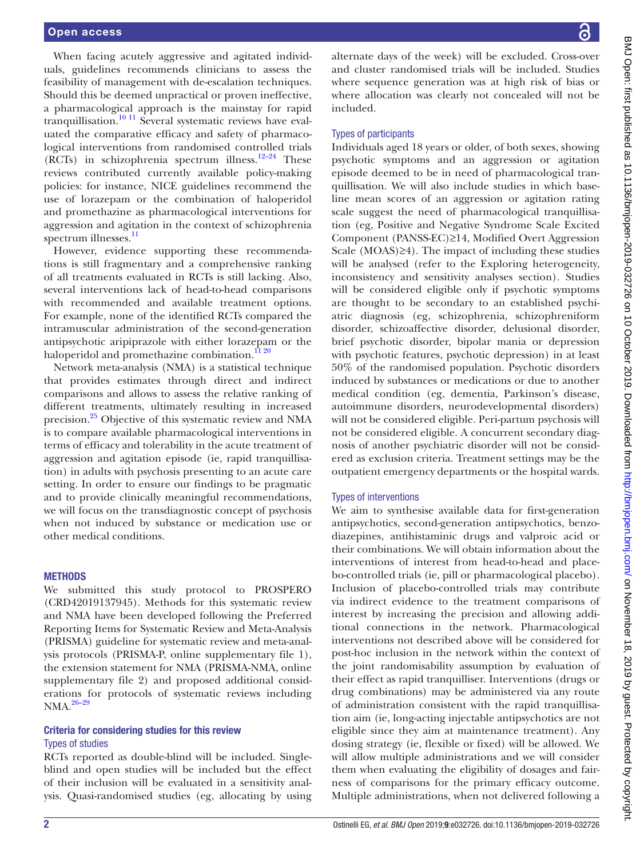When facing acutely aggressive and agitated individuals, guidelines recommends clinicians to assess the feasibility of management with de-escalation techniques. Should this be deemed unpractical or proven ineffective, a pharmacological approach is the mainstay for rapid tranquillisation.<sup>10 11</sup> Several systematic reviews have evaluated the comparative efficacy and safety of pharmacological interventions from randomised controlled trials (RCTs) in schizophrenia spectrum illness.<sup>12–24</sup> These reviews contributed currently available policy-making policies: for instance, NICE guidelines recommend the use of lorazepam or the combination of haloperidol and promethazine as pharmacological interventions for aggression and agitation in the context of schizophrenia spectrum illnesses.<sup>11</sup>

However, evidence supporting these recommendations is still fragmentary and a comprehensive ranking of all treatments evaluated in RCTs is still lacking. Also, several interventions lack of head-to-head comparisons with recommended and available treatment options. For example, none of the identified RCTs compared the intramuscular administration of the second-generation antipsychotic aripiprazole with either lorazepam or the haloperidol and promethazine combination. $\frac{11\,20}{20}$ 

Network meta-analysis (NMA) is a statistical technique that provides estimates through direct and indirect comparisons and allows to assess the relative ranking of different treatments, ultimately resulting in increased precision[.25](#page-6-8) Objective of this systematic review and NMA is to compare available pharmacological interventions in terms of efficacy and tolerability in the acute treatment of aggression and agitation episode (ie, rapid tranquillisation) in adults with psychosis presenting to an acute care setting. In order to ensure our findings to be pragmatic and to provide clinically meaningful recommendations, we will focus on the transdiagnostic concept of psychosis when not induced by substance or medication use or other medical conditions.

## **METHODS**

We submitted this study protocol to PROSPERO (CRD42019137945). Methods for this systematic review and NMA have been developed following the Preferred Reporting Items for Systematic Review and Meta-Analysis (PRISMA) guideline for systematic review and meta-analysis protocols (PRISMA-P, [online supplementary file 1](https://dx.doi.org/10.1136/bmjopen-2019-032726)), the extension statement for NMA (PRISMA-NMA, [online](https://dx.doi.org/10.1136/bmjopen-2019-032726) [supplementary file 2](https://dx.doi.org/10.1136/bmjopen-2019-032726)) and proposed additional considerations for protocols of systematic reviews including NMA.<sup>26-29</sup>

## Criteria for considering studies for this review Types of studies

RCTs reported as double-blind will be included. Singleblind and open studies will be included but the effect of their inclusion will be evaluated in a sensitivity analysis. Quasi-randomised studies (eg, allocating by using

alternate days of the week) will be excluded. Cross-over and cluster randomised trials will be included. Studies where sequence generation was at high risk of bias or where allocation was clearly not concealed will not be included.

#### Types of participants

Individuals aged 18 years or older, of both sexes, showing psychotic symptoms and an aggression or agitation episode deemed to be in need of pharmacological tranquillisation. We will also include studies in which baseline mean scores of an aggression or agitation rating scale suggest the need of pharmacological tranquillisation (eg, Positive and Negative Syndrome Scale Excited Component (PANSS-EC)≥14, Modified Overt Aggression Scale (MOAS)≥4). The impact of including these studies will be analysed (refer to the Exploring heterogeneity, inconsistency and sensitivity analyses section). Studies will be considered eligible only if psychotic symptoms are thought to be secondary to an established psychiatric diagnosis (eg, schizophrenia, schizophreniform disorder, schizoaffective disorder, delusional disorder, brief psychotic disorder, bipolar mania or depression with psychotic features, psychotic depression) in at least 50% of the randomised population. Psychotic disorders induced by substances or medications or due to another medical condition (eg, dementia, Parkinson's disease, autoimmune disorders, neurodevelopmental disorders) will not be considered eligible. Peri-partum psychosis will not be considered eligible. A concurrent secondary diagnosis of another psychiatric disorder will not be considered as exclusion criteria. Treatment settings may be the outpatient emergency departments or the hospital wards.

#### Types of interventions

We aim to synthesise available data for first-generation antipsychotics, second-generation antipsychotics, benzodiazepines, antihistaminic drugs and valproic acid or their combinations. We will obtain information about the interventions of interest from head-to-head and placebo-controlled trials (ie, pill or pharmacological placebo). Inclusion of placebo-controlled trials may contribute via indirect evidence to the treatment comparisons of interest by increasing the precision and allowing additional connections in the network. Pharmacological interventions not described above will be considered for post-hoc inclusion in the network within the context of the joint randomisability assumption by evaluation of their effect as rapid tranquilliser. Interventions (drugs or drug combinations) may be administered via any route of administration consistent with the rapid tranquillisation aim (ie, long-acting injectable antipsychotics are not eligible since they aim at maintenance treatment). Any dosing strategy (ie, flexible or fixed) will be allowed. We will allow multiple administrations and we will consider them when evaluating the eligibility of dosages and fairness of comparisons for the primary efficacy outcome. Multiple administrations, when not delivered following a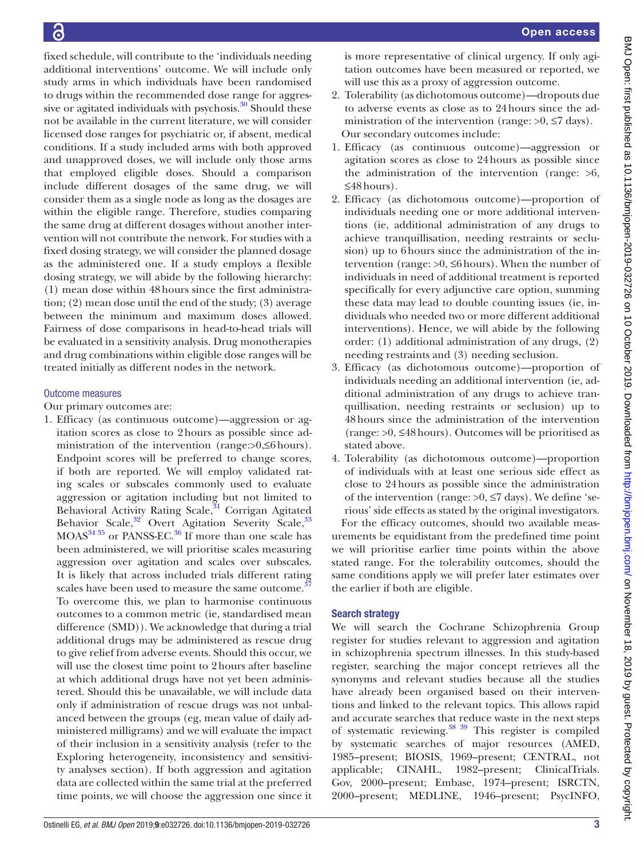fixed schedule, will contribute to the 'individuals needing additional interventions' outcome. We will include only study arms in which individuals have been randomised to drugs within the recommended dose range for aggressive or agitated individuals with psychosis.<sup>30</sup> Should these not be available in the current literature, we will consider licensed dose ranges for psychiatric or, if absent, medical conditions. If a study included arms with both approved and unapproved doses, we will include only those arms that employed eligible doses. Should a comparison include different dosages of the same drug, we will consider them as a single node as long as the dosages are within the eligible range. Therefore, studies comparing the same drug at different dosages without another intervention will not contribute the network. For studies with a fixed dosing strategy, we will consider the planned dosage as the administered one. If a study employs a flexible dosing strategy, we will abide by the following hierarchy: (1) mean dose within 48hours since the first administration; (2) mean dose until the end of the study; (3) average between the minimum and maximum doses allowed. Fairness of dose comparisons in head-to-head trials will be evaluated in a sensitivity analysis. Drug monotherapies and drug combinations within eligible dose ranges will be treated initially as different nodes in the network.

## Outcome measures

Our primary outcomes are:

1. Efficacy (as continuous outcome)—aggression or agitation scores as close to 2hours as possible since administration of the intervention (range:>0,≤6hours). Endpoint scores will be preferred to change scores, if both are reported. We will employ validated rating scales or subscales commonly used to evaluate aggression or agitation including but not limited to Behavioral Activity Rating Scale,<sup>31</sup> Corrigan Agitated Behavior Scale, $32$  Overt Agitation Severity Scale,  $33$ MOAS<sup>[34 35](#page-7-2)</sup> or PANSS-EC.<sup>36</sup> If more than one scale has been administered, we will prioritise scales measuring aggression over agitation and scales over subscales. It is likely that across included trials different rating scales have been used to measure the same outcome.<sup>3</sup> To overcome this, we plan to harmonise continuous outcomes to a common metric (ie, standardised mean difference (SMD)). We acknowledge that during a trial additional drugs may be administered as rescue drug to give relief from adverse events. Should this occur, we will use the closest time point to 2hours after baseline at which additional drugs have not yet been administered. Should this be unavailable, we will include data only if administration of rescue drugs was not unbalanced between the groups (eg, mean value of daily administered milligrams) and we will evaluate the impact of their inclusion in a sensitivity analysis (refer to the Exploring heterogeneity, inconsistency and sensitivity analyses section). If both aggression and agitation data are collected within the same trial at the preferred time points, we will choose the aggression one since it

is more representative of clinical urgency. If only agitation outcomes have been measured or reported, we will use this as a proxy of aggression outcome.

- 2. Tolerability (as dichotomous outcome)—dropouts due to adverse events as close as to 24hours since the administration of the intervention (range:  $>0$ ,  $\leq$ 7 days). Our secondary outcomes include:
- 1. Efficacy (as continuous outcome)—aggression or agitation scores as close to 24hours as possible since the administration of the intervention (range:  $>6$ , ≤48hours).
- 2. Efficacy (as dichotomous outcome)—proportion of individuals needing one or more additional interventions (ie, additional administration of any drugs to achieve tranquillisation, needing restraints or seclusion) up to 6hours since the administration of the intervention (range: >0, ≤6hours). When the number of individuals in need of additional treatment is reported specifically for every adjunctive care option, summing these data may lead to double counting issues (ie, individuals who needed two or more different additional interventions). Hence, we will abide by the following order: (1) additional administration of any drugs, (2) needing restraints and (3) needing seclusion.
- 3. Efficacy (as dichotomous outcome)—proportion of individuals needing an additional intervention (ie, additional administration of any drugs to achieve tranquillisation, needing restraints or seclusion) up to 48hours since the administration of the intervention (range: >0, ≤48hours). Outcomes will be prioritised as stated above.
- 4. Tolerability (as dichotomous outcome)—proportion of individuals with at least one serious side effect as close to 24hours as possible since the administration of the intervention (range:  $>0$ ,  $\leq$ 7 days). We define 'serious' side effects as stated by the original investigators.

For the efficacy outcomes, should two available measurements be equidistant from the predefined time point we will prioritise earlier time points within the above stated range. For the tolerability outcomes, should the same conditions apply we will prefer later estimates over the earlier if both are eligible.

## Search strategy

We will search the Cochrane Schizophrenia Group register for studies relevant to aggression and agitation in schizophrenia spectrum illnesses. In this study-based register, searching the major concept retrieves all the synonyms and relevant studies because all the studies have already been organised based on their interventions and linked to the relevant topics. This allows rapid and accurate searches that reduce waste in the next steps of systematic reviewing.<sup>[38 39](#page-7-5)</sup> This register is compiled by systematic searches of major resources (AMED, 1985–present; BIOSIS, 1969–present; CENTRAL, not applicable; CINAHL, 1982–present; ClinicalTrials. Gov, 2000–present; Embase, 1974–present; ISRCTN, 2000–present; MEDLINE, 1946–present; PsycINFO,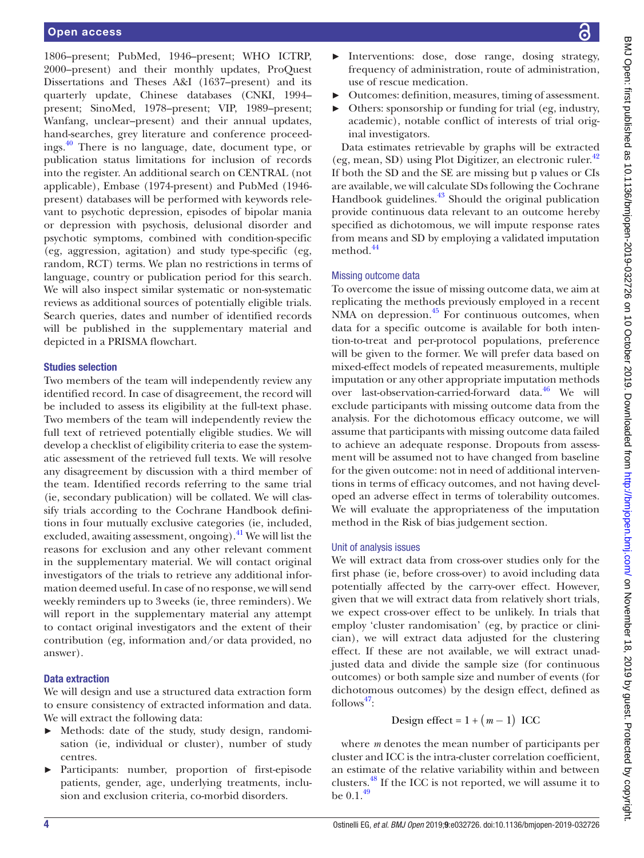1806–present; PubMed, 1946–present; WHO ICTRP, 2000–present) and their monthly updates, ProQuest Dissertations and Theses A&I (1637–present) and its quarterly update, Chinese databases (CNKI, 1994– present; SinoMed, 1978–present; VIP, 1989–present; Wanfang, unclear–present) and their annual updates, hand-searches, grey literature and conference proceedings.[40](#page-7-6) There is no language, date, document type, or publication status limitations for inclusion of records into the register. An additional search on CENTRAL (not applicable), Embase (1974-present) and PubMed (1946 present) databases will be performed with keywords relevant to psychotic depression, episodes of bipolar mania or depression with psychosis, delusional disorder and psychotic symptoms, combined with condition-specific (eg, aggression, agitation) and study type-specific (eg, random, RCT) terms. We plan no restrictions in terms of language, country or publication period for this search. We will also inspect similar systematic or non-systematic reviews as additional sources of potentially eligible trials. Search queries, dates and number of identified records will be published in the supplementary material and depicted in a PRISMA flowchart.

#### Studies selection

Two members of the team will independently review any identified record. In case of disagreement, the record will be included to assess its eligibility at the full-text phase. Two members of the team will independently review the full text of retrieved potentially eligible studies. We will develop a checklist of eligibility criteria to ease the systematic assessment of the retrieved full texts. We will resolve any disagreement by discussion with a third member of the team. Identified records referring to the same trial (ie, secondary publication) will be collated. We will classify trials according to the Cochrane Handbook definitions in four mutually exclusive categories (ie, included, excluded, awaiting assessment, ongoing). $^{41}$  $^{41}$  $^{41}$  We will list the reasons for exclusion and any other relevant comment in the supplementary material. We will contact original investigators of the trials to retrieve any additional information deemed useful. In case of no response, we will send weekly reminders up to 3weeks (ie, three reminders). We will report in the supplementary material any attempt to contact original investigators and the extent of their contribution (eg, information and/or data provided, no answer).

## Data extraction

We will design and use a structured data extraction form to ensure consistency of extracted information and data. We will extract the following data:

- Methods: date of the study, study design, randomisation (ie, individual or cluster), number of study centres.
- ► Participants: number, proportion of first-episode patients, gender, age, underlying treatments, inclusion and exclusion criteria, co-morbid disorders.
- BMJ Open: first published as 10.1136/bmijopen-2019-032726 on 10 October 2019. Downloaded from http://bmjopen.bmj.com/ on November 18, 2019 by guest. Protected by copyright. BMJ Open: first published as 10.1136/bmjopen-2019-032726 on 10 October 2019. Downloaded from <http://bmjopen.bmj.com/> BMJ Open: First published by copyright.
- Interventions: dose, dose range, dosing strategy, frequency of administration, route of administration, use of rescue medication.
- ► Outcomes: definition, measures, timing of assessment.
- ► Others: sponsorship or funding for trial (eg, industry, academic), notable conflict of interests of trial original investigators.

Data estimates retrievable by graphs will be extracted (eg, mean, SD) using Plot Digitizer, an electronic ruler.<sup>[42](#page-7-8)</sup> If both the SD and the SE are missing but p values or CIs are available, we will calculate SDs following the Cochrane Handbook guidelines. $43$  Should the original publication provide continuous data relevant to an outcome hereby specified as dichotomous, we will impute response rates from means and SD by employing a validated imputation method.<sup>[44](#page-7-10)</sup>

## Missing outcome data

To overcome the issue of missing outcome data, we aim at replicating the methods previously employed in a recent NMA on depression.<sup>45</sup> For continuous outcomes, when data for a specific outcome is available for both intention-to-treat and per-protocol populations, preference will be given to the former. We will prefer data based on mixed-effect models of repeated measurements, multiple imputation or any other appropriate imputation methods over last-observation-carried-forward data.<sup>46</sup> We will exclude participants with missing outcome data from the analysis. For the dichotomous efficacy outcome, we will assume that participants with missing outcome data failed to achieve an adequate response. Dropouts from assessment will be assumed not to have changed from baseline for the given outcome: not in need of additional interventions in terms of efficacy outcomes, and not having developed an adverse effect in terms of tolerability outcomes. We will evaluate the appropriateness of the imputation method in the Risk of bias judgement section.

## Unit of analysis issues

We will extract data from cross-over studies only for the first phase (ie, before cross-over) to avoid including data potentially affected by the carry-over effect. However, given that we will extract data from relatively short trials, we expect cross-over effect to be unlikely. In trials that employ 'cluster randomisation' (eg, by practice or clinician), we will extract data adjusted for the clustering effect. If these are not available, we will extract unadjusted data and divide the sample size (for continuous outcomes) or both sample size and number of events (for dichotomous outcomes) by the design effect, defined as  $follows<sup>47</sup>$ :

Design effect = 
$$
1 + (m-1)
$$
 ICC

where *m* denotes the mean number of participants per cluster and ICC is the intra-cluster correlation coefficient, an estimate of the relative variability within and between clusters.[48](#page-7-14) If the ICC is not reported, we will assume it to be  $0.1.^{49}$  $0.1.^{49}$  $0.1.^{49}$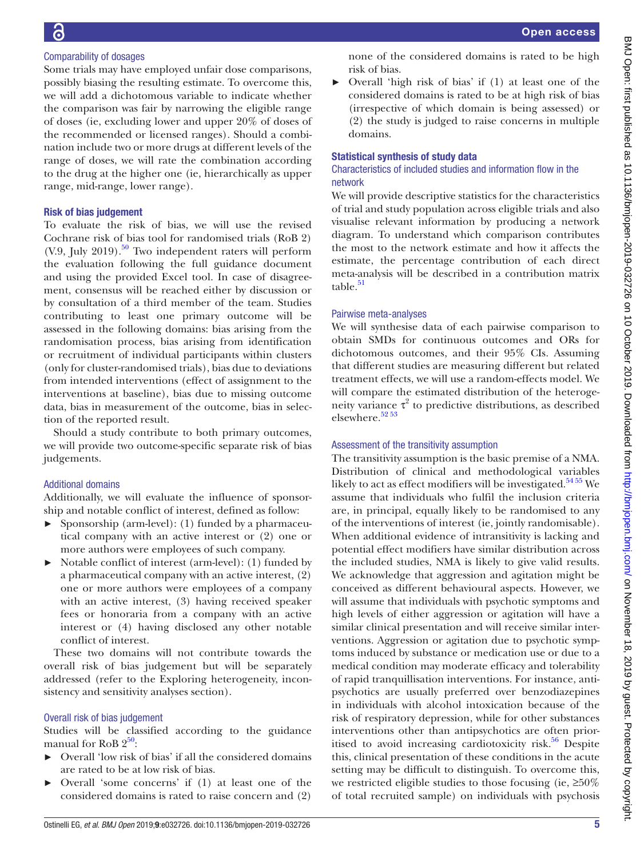# Comparability of dosages

Some trials may have employed unfair dose comparisons, possibly biasing the resulting estimate. To overcome this, we will add a dichotomous variable to indicate whether the comparison was fair by narrowing the eligible range of doses (ie, excluding lower and upper 20% of doses of the recommended or licensed ranges). Should a combination include two or more drugs at different levels of the range of doses, we will rate the combination according to the drug at the higher one (ie, hierarchically as upper range, mid-range, lower range).

## Risk of bias judgement

To evaluate the risk of bias, we will use the revised Cochrane risk of bias tool for randomised trials (RoB 2)  $(V.9, \text{July } 2019)$ .<sup>[50](#page-7-16)</sup> Two independent raters will perform the evaluation following the full guidance document and using the provided Excel tool. In case of disagreement, consensus will be reached either by discussion or by consultation of a third member of the team. Studies contributing to least one primary outcome will be assessed in the following domains: bias arising from the randomisation process, bias arising from identification or recruitment of individual participants within clusters (only for cluster-randomised trials), bias due to deviations from intended interventions (effect of assignment to the interventions at baseline), bias due to missing outcome data, bias in measurement of the outcome, bias in selection of the reported result.

Should a study contribute to both primary outcomes, we will provide two outcome-specific separate risk of bias judgements.

# Additional domains

Additionally, we will evaluate the influence of sponsorship and notable conflict of interest, defined as follow:

- Sponsorship (arm-level): (1) funded by a pharmaceutical company with an active interest or (2) one or more authors were employees of such company.
- ► Notable conflict of interest (arm-level): (1) funded by a pharmaceutical company with an active interest, (2) one or more authors were employees of a company with an active interest, (3) having received speaker fees or honoraria from a company with an active interest or (4) having disclosed any other notable conflict of interest.

These two domains will not contribute towards the overall risk of bias judgement but will be separately addressed (refer to the Exploring heterogeneity, inconsistency and sensitivity analyses section).

# Overall risk of bias judgement

Studies will be classified according to the guidance manual for RoB  $2^{50}$ :

- ► Overall 'low risk of bias' if all the considered domains are rated to be at low risk of bias.
- ► Overall 'some concerns' if (1) at least one of the considered domains is rated to raise concern and (2)

none of the considered domains is rated to be high risk of bias.

► Overall 'high risk of bias' if (1) at least one of the considered domains is rated to be at high risk of bias (irrespective of which domain is being assessed) or (2) the study is judged to raise concerns in multiple domains.

# Statistical synthesis of study data

## Characteristics of included studies and information flow in the network

We will provide descriptive statistics for the characteristics of trial and study population across eligible trials and also visualise relevant information by producing a network diagram. To understand which comparison contributes the most to the network estimate and how it affects the estimate, the percentage contribution of each direct meta-analysis will be described in a contribution matrix  $table.<sup>51</sup>$  $table.<sup>51</sup>$  $table.<sup>51</sup>$ 

# Pairwise meta-analyses

We will synthesise data of each pairwise comparison to obtain SMDs for continuous outcomes and ORs for dichotomous outcomes, and their 95% CIs. Assuming that different studies are measuring different but related treatment effects, we will use a random-effects model. We will compare the estimated distribution of the heterogeneity variance  $\tau^2$  to predictive distributions, as described elsewhere.<sup>52</sup>53

# Assessment of the transitivity assumption

The transitivity assumption is the basic premise of a NMA. Distribution of clinical and methodological variables likely to act as effect modifiers will be investigated.<sup>54 55</sup> We assume that individuals who fulfil the inclusion criteria are, in principal, equally likely to be randomised to any of the interventions of interest (ie, jointly randomisable). When additional evidence of intransitivity is lacking and potential effect modifiers have similar distribution across the included studies, NMA is likely to give valid results. We acknowledge that aggression and agitation might be conceived as different behavioural aspects. However, we will assume that individuals with psychotic symptoms and high levels of either aggression or agitation will have a similar clinical presentation and will receive similar interventions. Aggression or agitation due to psychotic symptoms induced by substance or medication use or due to a medical condition may moderate efficacy and tolerability of rapid tranquillisation interventions. For instance, antipsychotics are usually preferred over benzodiazepines in individuals with alcohol intoxication because of the risk of respiratory depression, while for other substances interventions other than antipsychotics are often prioritised to avoid increasing cardiotoxicity risk.<sup>56</sup> Despite this, clinical presentation of these conditions in the acute setting may be difficult to distinguish. To overcome this, we restricted eligible studies to those focusing (ie,  $\geq 50\%$ ) of total recruited sample) on individuals with psychosis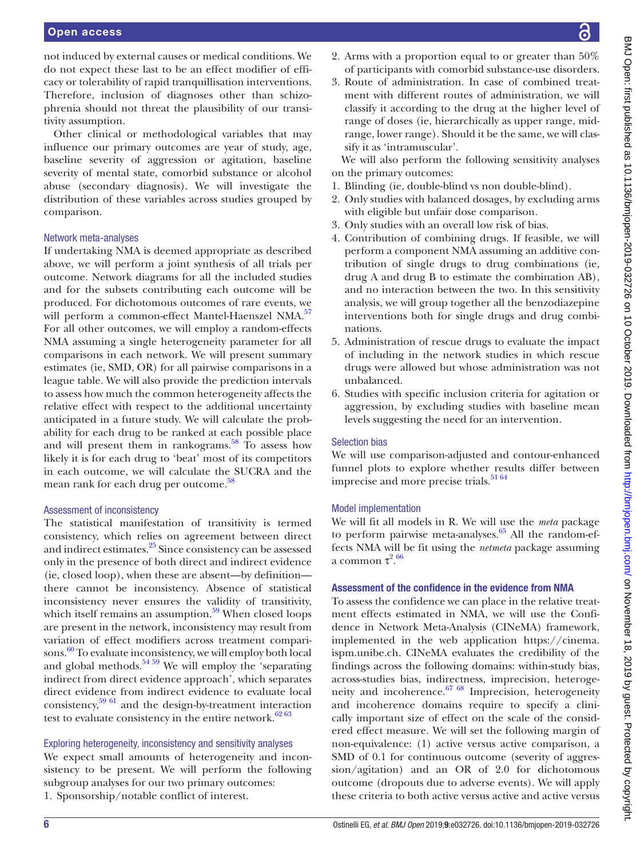not induced by external causes or medical conditions. We do not expect these last to be an effect modifier of efficacy or tolerability of rapid tranquillisation interventions. Therefore, inclusion of diagnoses other than schizophrenia should not threat the plausibility of our transitivity assumption.

Other clinical or methodological variables that may influence our primary outcomes are year of study, age, baseline severity of aggression or agitation, baseline severity of mental state, comorbid substance or alcohol abuse (secondary diagnosis). We will investigate the distribution of these variables across studies grouped by comparison.

#### Network meta-analyses

If undertaking NMA is deemed appropriate as described above, we will perform a joint synthesis of all trials per outcome. Network diagrams for all the included studies and for the subsets contributing each outcome will be produced. For dichotomous outcomes of rare events, we will perform a common-effect Mantel-Haenszel NMA.<sup>57</sup> For all other outcomes, we will employ a random-effects NMA assuming a single heterogeneity parameter for all comparisons in each network. We will present summary estimates (ie, SMD, OR) for all pairwise comparisons in a league table. We will also provide the prediction intervals to assess how much the common heterogeneity affects the relative effect with respect to the additional uncertainty anticipated in a future study. We will calculate the probability for each drug to be ranked at each possible place and will present them in rankograms.<sup>58</sup> To assess how likely it is for each drug to 'beat' most of its competitors in each outcome, we will calculate the SUCRA and the mean rank for each drug per outcome.<sup>58</sup>

## Assessment of inconsistency

The statistical manifestation of transitivity is termed consistency, which relies on agreement between direct and indirect estimates.[25](#page-6-8) Since consistency can be assessed only in the presence of both direct and indirect evidence (ie, closed loop), when these are absent—by definition there cannot be inconsistency. Absence of statistical inconsistency never ensures the validity of transitivity, which itself remains an assumption. $59$  When closed loops are present in the network, inconsistency may result from variation of effect modifiers across treatment comparisons. [60](#page-7-24) To evaluate inconsistency, we will employ both local and global methods.<sup>54 59</sup> We will employ the 'separating indirect from direct evidence approach', which separates direct evidence from indirect evidence to evaluate local consistency,[59 61](#page-7-23) and the design-by-treatment interaction test to evaluate consistency in the entire network. $62\,63$ 

#### Exploring heterogeneity, inconsistency and sensitivity analyses

We expect small amounts of heterogeneity and inconsistency to be present. We will perform the following subgroup analyses for our two primary outcomes: 1. Sponsorship/notable conflict of interest.

- 2. Arms with a proportion equal to or greater than 50% of participants with comorbid substance-use disorders.
- 3. Route of administration. In case of combined treatment with different routes of administration, we will classify it according to the drug at the higher level of range of doses (ie, hierarchically as upper range, midrange, lower range). Should it be the same, we will classify it as 'intramuscular'.

We will also perform the following sensitivity analyses on the primary outcomes:

- 1. Blinding (ie, double-blind vs non double-blind).
- 2. Only studies with balanced dosages, by excluding arms with eligible but unfair dose comparison.
- 3. Only studies with an overall low risk of bias.
- 4. Contribution of combining drugs. If feasible, we will perform a component NMA assuming an additive contribution of single drugs to drug combinations (ie, drug A and drug B to estimate the combination AB), and no interaction between the two. In this sensitivity analysis, we will group together all the benzodiazepine interventions both for single drugs and drug combinations.
- 5. Administration of rescue drugs to evaluate the impact of including in the network studies in which rescue drugs were allowed but whose administration was not unbalanced.
- 6. Studies with specific inclusion criteria for agitation or aggression, by excluding studies with baseline mean levels suggesting the need for an intervention.

## Selection bias

We will use comparison-adjusted and contour-enhanced funnel plots to explore whether results differ between imprecise and more precise trials.<sup>[51 64](#page-7-17)</sup>

#### Model implementation

We will fit all models in R. We will use the *meta* package to perform pairwise meta-analyses. $65$  All the random-effects NMA will be fit using the *netmeta* package assuming a common  $\tau^{2.66}$  $\tau^{2.66}$  $\tau^{2.66}$ 

#### Assessment of the confidence in the evidence from NMA

To assess the confidence we can place in the relative treatment effects estimated in NMA, we will use the Confidence in Network Meta-Analysis (CINeMA) framework, implemented in the web application [https://cinema.](https://cinema.ispm.unibe.ch) [ispm.unibe.ch.](https://cinema.ispm.unibe.ch) CINeMA evaluates the credibility of the findings across the following domains: within-study bias, across-studies bias, indirectness, imprecision, heterogeneity and incoherence.<sup>67 68</sup> Imprecision, heterogeneity and incoherence domains require to specify a clinically important size of effect on the scale of the considered effect measure. We will set the following margin of non-equivalence: (1) active versus active comparison, a SMD of 0.1 for continuous outcome (severity of aggression/agitation) and an OR of 2.0 for dichotomous outcome (dropouts due to adverse events). We will apply these criteria to both active versus active and active versus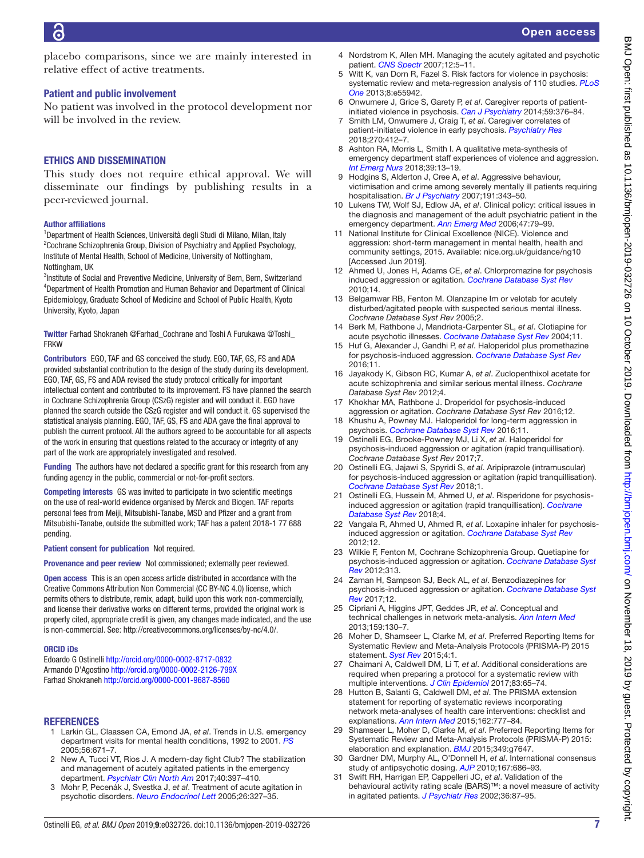placebo comparisons, since we are mainly interested in relative effect of active treatments.

## Patient and public involvement

No patient was involved in the protocol development nor will be involved in the review.

## Ethics and dissemination

This study does not require ethical approval. We will disseminate our findings by publishing results in a peer-reviewed journal.

## Author affiliations

<sup>1</sup>Department of Health Sciences, Università degli Studi di Milano, Milan, Italy <sup>2</sup>Cochrane Schizophrenia Group, Division of Psychiatry and Applied Psychology, Institute of Mental Health, School of Medicine, University of Nottingham, Nottingham, UK

<sup>3</sup>Institute of Social and Preventive Medicine, University of Bern, Bern, Switzerland 4 Department of Health Promotion and Human Behavior and Department of Clinical Epidemiology, Graduate School of Medicine and School of Public Health, Kyoto University, Kyoto, Japan

Twitter Farhad Shokraneh [@Farhad\\_Cochrane](https://twitter.com/Farhad_Cochrane) and Toshi A Furukawa [@Toshi\\_](https://twitter.com/Toshi_FRKW) [FRKW](https://twitter.com/Toshi_FRKW)

Contributors EGO, TAF and GS conceived the study. EGO, TAF, GS, FS and ADA provided substantial contribution to the design of the study during its development. EGO, TAF, GS, FS and ADA revised the study protocol critically for important intellectual content and contributed to its improvement. FS have planned the search in Cochrane Schizophrenia Group (CSzG) register and will conduct it. EGO have planned the search outside the CSzG register and will conduct it. GS supervised the statistical analysis planning. EGO, TAF, GS, FS and ADA gave the final approval to publish the current protocol. All the authors agreed to be accountable for all aspects of the work in ensuring that questions related to the accuracy or integrity of any part of the work are appropriately investigated and resolved.

Funding The authors have not declared a specific grant for this research from any funding agency in the public, commercial or not-for-profit sectors.

Competing interests GS was invited to participate in two scientific meetings on the use of real-world evidence organised by Merck and Biogen. TAF reports personal fees from Meiji, Mitsubishi-Tanabe, MSD and Pfizer and a grant from Mitsubishi-Tanabe, outside the submitted work; TAF has a patent 2018-1 77 688 pending.

Patient consent for publication Not required.

Provenance and peer review Not commissioned; externally peer reviewed.

Open access This is an open access article distributed in accordance with the Creative Commons Attribution Non Commercial (CC BY-NC 4.0) license, which permits others to distribute, remix, adapt, build upon this work non-commercially, and license their derivative works on different terms, provided the original work is properly cited, appropriate credit is given, any changes made indicated, and the use is non-commercial. See: [http://creativecommons.org/licenses/by-nc/4.0/.](http://creativecommons.org/licenses/by-nc/4.0/)

#### ORCID iDs

Edoardo G Ostinelli<http://orcid.org/0000-0002-8717-0832> Armando D'Agostino <http://orcid.org/0000-0002-2126-799X> Farhad Shokraneh<http://orcid.org/0000-0001-9687-8560>

## **REFERENCES**

- <span id="page-6-0"></span>1 Larkin GL, Claassen CA, Emond JA, *et al*. Trends in U.S. emergency department visits for mental health conditions, 1992 to 2001. *[PS](http://dx.doi.org/10.1176/appi.ps.56.6.671)* 2005;56:671–7.
- <span id="page-6-1"></span>2 New A, Tucci VT, Rios J. A modern-day fight Club? The stabilization and management of acutely agitated patients in the emergency department. *[Psychiatr Clin North Am](http://dx.doi.org/10.1016/j.psc.2017.05.002)* 2017;40:397–410.
- <span id="page-6-2"></span>3 Mohr P, Pecenák J, Svestka J, *et al*. Treatment of acute agitation in psychotic disorders. *[Neuro Endocrinol Lett](http://www.ncbi.nlm.nih.gov/pubmed/16136016)* 2005;26:327–35.
- 4 Nordstrom K, Allen MH. Managing the acutely agitated and psychotic patient. *[CNS Spectr](http://dx.doi.org/10.1017/S1092852900026286)* 2007;12:5–11.
- <span id="page-6-3"></span>5 Witt K, van Dorn R, Fazel S. Risk factors for violence in psychosis: systematic review and meta-regression analysis of 110 studies. *[PLoS](http://dx.doi.org/10.1371/journal.pone.0055942)  [One](http://dx.doi.org/10.1371/journal.pone.0055942)* 2013;8:e55942.
- <span id="page-6-4"></span>6 Onwumere J, Grice S, Garety P, *et al*. Caregiver reports of patientinitiated violence in psychosis. *[Can J Psychiatry](http://dx.doi.org/10.1177/070674371405900705)* 2014;59:376–84.
- 7 Smith LM, Onwumere J, Craig T, *et al*. Caregiver correlates of patient-initiated violence in early psychosis. *[Psychiatry Res](http://dx.doi.org/10.1016/j.psychres.2018.09.011)* 2018;270:412–7.
- 8 Ashton RA, Morris L, Smith I. A qualitative meta-synthesis of emergency department staff experiences of violence and aggression. *[Int Emerg Nurs](http://dx.doi.org/10.1016/j.ienj.2017.12.004)* 2018;39:13–19.
- 9 Hodgins S, Alderton J, Cree A, *et al*. Aggressive behaviour, victimisation and crime among severely mentally ill patients requiring hospitalisation. *[Br J Psychiatry](http://dx.doi.org/10.1192/bjp.bp.106.06.029587)* 2007;191:343–50.
- <span id="page-6-5"></span>10 Lukens TW, Wolf SJ, Edlow JA, *et al*. Clinical policy: critical issues in the diagnosis and management of the adult psychiatric patient in the emergency department. *[Ann Emerg Med](http://dx.doi.org/10.1016/j.annemergmed.2005.10.002)* 2006;47:79–99.
- <span id="page-6-7"></span>11 National Institute for Clinical Excellence (NICE). Violence and aggression: short-term management in mental health, health and community settings, 2015. Available: <nice.org.uk/guidance/ng10> [Accessed Jun 2019].
- <span id="page-6-6"></span>12 Ahmed U, Jones H, Adams CE, *et al*. Chlorpromazine for psychosis induced aggression or agitation. *[Cochrane Database Syst Rev](http://dx.doi.org/10.1002/14651858.CD007445.pub2)* 2010;14.
- 13 Belgamwar RB, Fenton M. Olanzapine Im or velotab for acutely disturbed/agitated people with suspected serious mental illness. *Cochrane Database Syst Rev* 2005;2.
- 14 Berk M, Rathbone J, Mandriota-Carpenter SL, *et al*. Clotiapine for acute psychotic illnesses. *[Cochrane Database Syst Rev](http://dx.doi.org/10.1002/14651858.CD002304.pub2)* 2004;11.
- 15 Huf G, Alexander J, Gandhi P, *et al*. Haloperidol plus promethazine for psychosis-induced aggression. *[Cochrane Database Syst Rev](http://dx.doi.org/10.1002/14651858.CD005146.pub3)* 2016;11.
- 16 Jayakody K, Gibson RC, Kumar A, *et al*. Zuclopenthixol acetate for acute schizophrenia and similar serious mental illness. *Cochrane Database Syst Rev* 2012;4.
- 17 Khokhar MA, Rathbone J. Droperidol for psychosis-induced aggression or agitation. *Cochrane Database Syst Rev* 2016;12.
- 18 Khushu A, Powney MJ. Haloperidol for long-term aggression in psychosis. *[Cochrane Database Syst Rev](http://dx.doi.org/10.1002/14651858.CD009830.pub2)* 2016;11.
- 19 Ostinelli EG, Brooke-Powney MJ, Li X, *et al*. Haloperidol for psychosis-induced aggression or agitation (rapid tranquillisation). *Cochrane Database Syst Rev* 2017;7.
- 20 Ostinelli EG, Jajawi S, Spyridi S, *et al*. Aripiprazole (intramuscular) for psychosis-induced aggression or agitation (rapid tranquillisation). *[Cochrane Database Syst Rev](http://dx.doi.org/10.1002/14651858.CD008074.pub2)* 2018;1.
- 21 Ostinelli EG, Hussein M, Ahmed U, *et al*. Risperidone for psychosisinduced aggression or agitation (rapid tranquillisation). *[Cochrane](http://dx.doi.org/10.1002/14651858.CD009412.pub2)  [Database Syst Rev](http://dx.doi.org/10.1002/14651858.CD009412.pub2)* 2018;4.
- 22 Vangala R, Ahmed U, Ahmed R, *et al*. Loxapine inhaler for psychosisinduced aggression or agitation. *[Cochrane Database Syst Rev](http://dx.doi.org/10.1002/14651858.CD010190)* 2012;12.
- 23 Wilkie F, Fenton M, Cochrane Schizophrenia Group. Quetiapine for psychosis-induced aggression or agitation. *[Cochrane Database Syst](http://dx.doi.org/10.1002/14651858.CD009801)  [Rev](http://dx.doi.org/10.1002/14651858.CD009801)* 2012;313.
- 24 Zaman H, Sampson SJ, Beck AL, *et al*. Benzodiazepines for psychosis-induced aggression or agitation. *[Cochrane Database Syst](http://dx.doi.org/10.1002/14651858.CD003079.pub4)  [Rev](http://dx.doi.org/10.1002/14651858.CD003079.pub4)* 2017;12.
- <span id="page-6-8"></span>25 Cipriani A, Higgins JPT, Geddes JR, *et al*. Conceptual and technical challenges in network meta-analysis. *[Ann Intern Med](http://dx.doi.org/10.7326/0003-4819-159-2-201307160-00008)* 2013;159:130–7.
- <span id="page-6-9"></span>26 Moher D, Shamseer L, Clarke M, *et al*. Preferred Reporting Items for Systematic Review and Meta-Analysis Protocols (PRISMA-P) 2015 statement. *[Syst Rev](http://dx.doi.org/10.1186/2046-4053-4-1)* 2015;4:1.
- 27 Chaimani A, Caldwell DM, Li T, *et al*. Additional considerations are required when preparing a protocol for a systematic review with multiple interventions. *[J Clin Epidemiol](http://dx.doi.org/10.1016/j.jclinepi.2016.11.015)* 2017;83:65–74.
- 28 Hutton B, Salanti G, Caldwell DM, *et al*. The PRISMA extension statement for reporting of systematic reviews incorporating network meta-analyses of health care interventions: checklist and explanations. *[Ann Intern Med](http://dx.doi.org/10.7326/M14-2385)* 2015;162:777–84.
- 29 Shamseer L, Moher D, Clarke M, *et al*. Preferred Reporting Items for Systematic Review and Meta-Analysis Protocols (PRISMA-P) 2015: elaboration and explanation. *[BMJ](http://dx.doi.org/10.1136/bmj.g7647)* 2015;349:g7647.
- <span id="page-6-10"></span>30 Gardner DM, Murphy AL, O'Donnell H, *et al*. International consensus study of antipsychotic dosing. *[AJP](http://dx.doi.org/10.1176/appi.ajp.2009.09060802)* 2010;167:686–93.
- <span id="page-6-11"></span>31 Swift RH, Harrigan EP, Cappelleri JC, *et al*. Validation of the behavioural activity rating scale (BARS)™: a novel measure of activity in agitated patients. *[J Psychiatr Res](http://dx.doi.org/10.1016/S0022-3956(01)00052-8)* 2002;36:87–95.

BMJ Open: first published as 10.1136/bmjopen-2019-032726 on 10 October 2019. Downloaded from <http://bmjopen.bmj.com/> BMJ Open: First published by copyright.

BMJ Open: first published as 10.1136/bmijopen-2019-032726 on 10 October 2019. Downloaded from http://bmjopen.bmj.com/ on November 18, 2019 by guest. Protected by copyright.